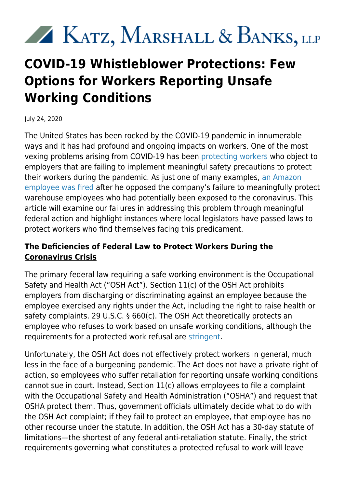# KATZ, MARSHALL & BANKS, LLP

## **COVID-19 Whistleblower Protections: Few Options for Workers Reporting Unsafe Working Conditions**

July 24, 2020

The United States has been rocked by the COVID-19 pandemic in innumerable ways and it has had profound and ongoing impacts on workers. One of the most vexing problems arising from COVID-19 has been [protecting workers](https://www.kmblegal.com/employment-law-blog/coronavirus-questions-answers-what-do-employees-need-know) who object to employers that are failing to implement meaningful safety precautions to protect their workers during the pandemic. As just one of many examples, [an Amazon](https://kmblegal.com/employment-law-blog/lessons-amazon%E2%80%99s-termination-warehouse-worker-who-protested-about-unsafe) [employee was fired](https://kmblegal.com/employment-law-blog/lessons-amazon%E2%80%99s-termination-warehouse-worker-who-protested-about-unsafe) after he opposed the company's failure to meaningfully protect warehouse employees who had potentially been exposed to the coronavirus. This article will examine our failures in addressing this problem through meaningful federal action and highlight instances where local legislators have passed laws to protect workers who find themselves facing this predicament.

#### **The Deficiencies of Federal Law to Protect Workers During the Coronavirus Crisis**

The primary federal law requiring a safe working environment is the Occupational Safety and Health Act ("OSH Act"). Section 11(c) of the OSH Act prohibits employers from discharging or discriminating against an employee because the employee exercised any rights under the Act, including the right to raise health or safety complaints. 29 U.S.C. § 660(c). The OSH Act theoretically protects an employee who refuses to work based on unsafe working conditions, although the requirements for a protected work refusal are [stringent](https://www.whistleblowers.gov/sites/default/files/2017-10/CotWRS.pdf).

Unfortunately, the OSH Act does not effectively protect workers in general, much less in the face of a burgeoning pandemic. The Act does not have a private right of action, so employees who suffer retaliation for reporting unsafe working conditions cannot sue in court. Instead, Section 11(c) allows employees to file a complaint with the Occupational Safety and Health Administration ("OSHA") and request that OSHA protect them. Thus, government officials ultimately decide what to do with the OSH Act complaint; if they fail to protect an employee, that employee has no other recourse under the statute. In addition, the OSH Act has a 30-day statute of limitations—the shortest of any federal anti-retaliation statute. Finally, the strict requirements governing what constitutes a protected refusal to work will leave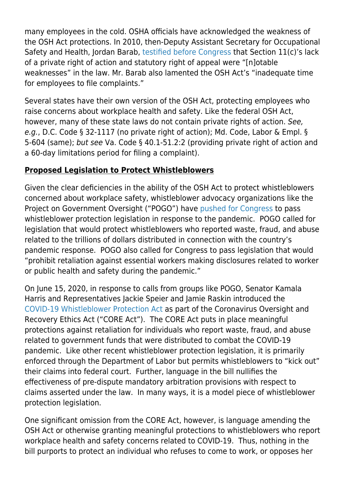many employees in the cold. OSHA officials have acknowledged the weakness of the OSH Act protections. In 2010, then-Deputy Assistant Secretary for Occupational Safety and Health, Jordan Barab, [testified before Congress](https://www.osha.gov/news/testimonies/04282010) that Section 11(c)'s lack of a private right of action and statutory right of appeal were "[n]otable weaknesses" in the law. Mr. Barab also lamented the OSH Act's "inadequate time for employees to file complaints."

Several states have their own version of the OSH Act, protecting employees who raise concerns about workplace health and safety. Like the federal OSH Act, however, many of these state laws do not contain private rights of action. See, e.g., D.C. Code § 32-1117 (no private right of action); Md. Code, Labor & Empl. § 5-604 (same); but see Va. Code § 40.1-51.2:2 (providing private right of action and a 60-day limitations period for filing a complaint).

#### **Proposed Legislation to Protect Whistleblowers**

Given the clear deficiencies in the ability of the OSH Act to protect whistleblowers concerned about workplace safety, whistleblower advocacy organizations like the Project on Government Oversight ("POGO") have [pushed for Congress](https://www.pogo.org/resource/2020/05/priorities-for-phase-4-covid-19-response-funding-bill-may-2020/) to pass whistleblower protection legislation in response to the pandemic. POGO called for legislation that would protect whistleblowers who reported waste, fraud, and abuse related to the trillions of dollars distributed in connection with the country's pandemic response. POGO also called for Congress to pass legislation that would "prohibit retaliation against essential workers making disclosures related to worker or public health and safety during the pandemic."

On June 15, 2020, in response to calls from groups like POGO, Senator Kamala Harris and Representatives Jackie Speier and Jamie Raskin introduced the [COVID-19 Whistleblower Protection Act](https://www.harris.senate.gov/news/press-releases/harris-speier-raskin-introduce-legislation-ensuring-protection-for-those-who-expose-waste-fraud-abuse-in-federal-covid-19-relief-effort-) as part of the Coronavirus Oversight and Recovery Ethics Act ("CORE Act"). The CORE Act puts in place meaningful protections against retaliation for individuals who report waste, fraud, and abuse related to government funds that were distributed to combat the COVID-19 pandemic. Like other recent whistleblower protection legislation, it is primarily enforced through the Department of Labor but permits whistleblowers to "kick out" their claims into federal court. Further, language in the bill nullifies the effectiveness of pre-dispute mandatory arbitration provisions with respect to claims asserted under the law. In many ways, it is a model piece of whistleblower protection legislation.

One significant omission from the CORE Act, however, is language amending the OSH Act or otherwise granting meaningful protections to whistleblowers who report workplace health and safety concerns related to COVID-19. Thus, nothing in the bill purports to protect an individual who refuses to come to work, or opposes her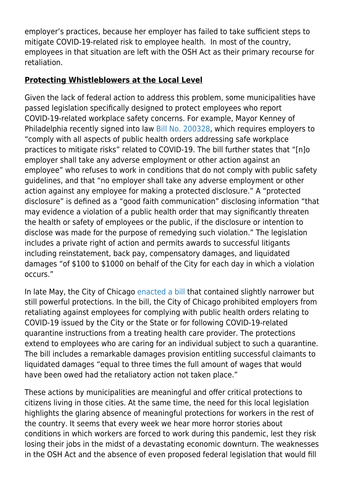employer's practices, because her employer has failed to take sufficient steps to mitigate COVID-19-related risk to employee health. In most of the country, employees in that situation are left with the OSH Act as their primary recourse for retaliation.

### **Protecting Whistleblowers at the Local Level**

Given the lack of federal action to address this problem, some municipalities have passed legislation specifically designed to protect employees who report COVID-19-related workplace safety concerns. For example, Mayor Kenney of Philadelphia recently signed into law [Bill No. 200328,](https://assets.documentcloud.org/documents/6940749/Philadelphia-whistleblower-protection-bill.pdf) which requires employers to "comply with all aspects of public health orders addressing safe workplace practices to mitigate risks" related to COVID-19. The bill further states that "[n]o employer shall take any adverse employment or other action against an employee" who refuses to work in conditions that do not comply with public safety guidelines, and that "no employer shall take any adverse employment or other action against any employee for making a protected disclosure." A "protected disclosure" is defined as a "good faith communication" disclosing information "that may evidence a violation of a public health order that may significantly threaten the health or safety of employees or the public, if the disclosure or intention to disclose was made for the purpose of remedying such violation." The legislation includes a private right of action and permits awards to successful litigants including reinstatement, back pay, compensatory damages, and liquidated damages "of \$100 to \$1000 on behalf of the City for each day in which a violation occurs."

In late May, the City of Chicago [enacted a bill](https://chicago.legistar.com/LegislationDetail.aspx?ID=4424788&GUID=200E1B58-E5D5-4B5C-B14C-294DAAACA6FC&Options=Advanced&Search=&FullText=1) that contained slightly narrower but still powerful protections. In the bill, the City of Chicago prohibited employers from retaliating against employees for complying with public health orders relating to COVID-19 issued by the City or the State or for following COVID-19-related quarantine instructions from a treating health care provider. The protections extend to employees who are caring for an individual subject to such a quarantine. The bill includes a remarkable damages provision entitling successful claimants to liquidated damages "equal to three times the full amount of wages that would have been owed had the retaliatory action not taken place."

These actions by municipalities are meaningful and offer critical protections to citizens living in those cities. At the same time, the need for this local legislation highlights the glaring absence of meaningful protections for workers in the rest of the country. It seems that every week we hear more horror stories about conditions in which workers are forced to work during this pandemic, lest they risk losing their jobs in the midst of a devastating economic downturn. The weaknesses in the OSH Act and the absence of even proposed federal legislation that would fill